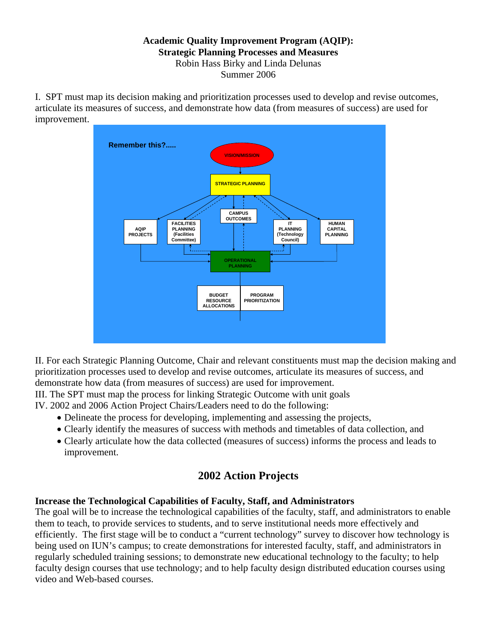### **Academic Quality Improvement Program (AQIP): Strategic Planning Processes and Measures**  Robin Hass Birky and Linda Delunas Summer 2006

I. SPT must map its decision making and prioritization processes used to develop and revise outcomes, articulate its measures of success, and demonstrate how data (from measures of success) are used for improvement.



II. For each Strategic Planning Outcome, Chair and relevant constituents must map the decision making and prioritization processes used to develop and revise outcomes, articulate its measures of success, and demonstrate how data (from measures of success) are used for improvement.

III. The SPT must map the process for linking Strategic Outcome with unit goals

IV. 2002 and 2006 Action Project Chairs/Leaders need to do the following:

- Delineate the process for developing, implementing and assessing the projects,
- Clearly identify the measures of success with methods and timetables of data collection, and
- Clearly articulate how the data collected (measures of success) informs the process and leads to improvement.

# **2002 Action Projects**

# **Increase the Technological Capabilities of Faculty, Staff, and Administrators**

The goal will be to increase the technological capabilities of the faculty, staff, and administrators to enable them to teach, to provide services to students, and to serve institutional needs more effectively and efficiently. The first stage will be to conduct a "current technology" survey to discover how technology is being used on IUN's campus; to create demonstrations for interested faculty, staff, and administrators in regularly scheduled training sessions; to demonstrate new educational technology to the faculty; to help faculty design courses that use technology; and to help faculty design distributed education courses using video and Web-based courses.